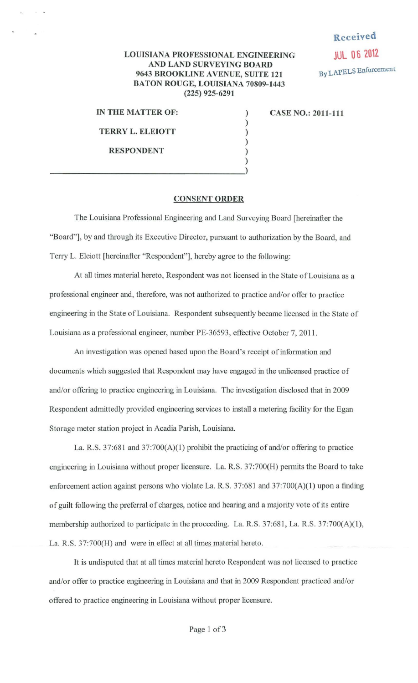## Received JUL 06 2012 By LAPELS Enforcement

## LOUISIANA PROFESSIONAL ENGINEERING AND LAND SURVEYING BOARD 9643 BROOKLINE AVENUE, SUITE 121 BATON ROUGE, LOUISIANA 70809-1443 (225) 925-6291

) ) ) )

IN THE MATTER OF:

TERRY L. ELEIOTT

RESPONDENT

)  $\frac{1}{2}$ 

CASE NO.: 2011-111

## CONSENT ORDER

The Louisiana Professional Engineering and Land Surveying Board [hereinafter the "Board"], by and through its Executive Director, pursuant to authorization by the Board, and Terry L. Eleiott [hereinafter "Respondent"], hereby agree to the following:

At all times material hereto, Respondent was not licensed in the State of Louisiana as a professional engineer and, therefore, was not authorized to practice and/or offer to practice engineering in the State of Louisiana. Respondent subsequently became licensed in the State of Louisiana as a professional engineer, number PE-36593, effective October 7, 2011.

An investigation was opened based upon the Board's receipt of information and documents which suggested that Respondent may have engaged in the unlicensed practice of and/or offering to practice engineering in Louisiana. The investigation disclosed that in 2009 Respondent admittedly provided engineering services to install a metering facility for the Egan Storage meter station project in Acadia Parish, Louisiana.

La. R.S. 37:681 and 37:700(A)(l) prohibit the practicing of and/or offering to practice engineering in Louisiana without proper licensure. La. R.S. 37:700(H) pennits the Board to take enforcement action against persons who violate La. R.S. 37:681 and 37:700(A)(1) upon a finding of guilt following the preferral of charges, notice and hearing and a majority vote of its entire membership authorized to participate in the proceeding. La. R.S. 37:681, La. R.S. 37:700(A)(l), La. R.S. 37:700(H) and were in effect at all times material hereto.

It is undisputed that at all times material hereto Respondent was not licensed to practice and/or offer to practice engineering in Louisiana and that in 2009 Respondent practiced and/or offered to practice engineering in Louisiana without proper licensure.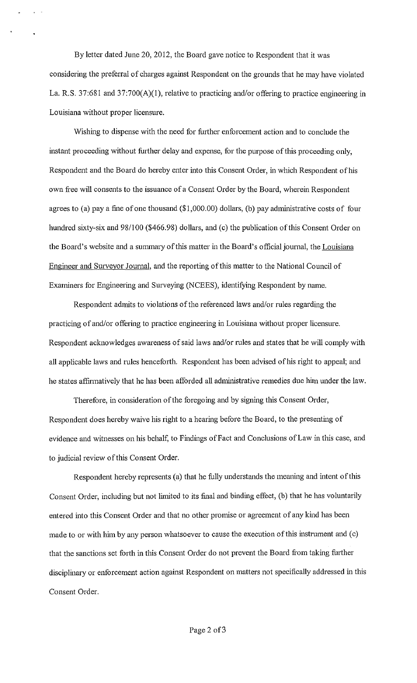By letter dated June 20, 2012, the Board gave notice to Respondent that it was considering the preferral of charges against Respondent on the grounds that he may have violated La. R.S. 37:681 and 37:700(A)(1), relative to practicing and/or offering to practice engineering in Louisiana without proper licensure.

Wishing to dispense with the need for further enforcement action and to conclude the instant proceeding without further delay and expense, for the purpose of this proceeding only, Respondent and the Board do hereby enter into this Consent Order, in which Respondent of his own free will consents to the issuance of a Consent Order by the Board, wherein Respondent agrees to (a) pay a fine of one thousand  $(\$1,000.00)$  dollars, (b) pay administrative costs of four hundred sixty-six and 98/100 (\$466.98) dollars, and (c) the publication of this Consent Order on the Board's website and a summary of this matter in the Board's official journal, the Louisiana Engineer and Surveyor Journal, and the reporting of this matter to the National Council of Examiners for Engineering and Surveying (NCEES), identifying Respondent by name.

Respondent admits to violations of the referenced laws and/or rules regarding the practicing of and/or offering to practice engineering in Louisiana without proper licensure. Respondent acknowledges awareness of said laws and/or rules and states that he will comply with all applicable laws and rules henceforth. Respondent has been advised of his right to appeal; and he states affirmatively that he has been afforded all administrative remedies due him under the law.

Therefore, in consideration of the foregoing and by signing this Consent Order, Respondent does hereby waive his right to a hearing before the Board, to the presenting of evidence and witnesses on his behalf, to Findings of Fact and Conclusions of Law in this case, and to judicial review of this Consent Order.

Respondent hereby represents (a) that he fully understands the meaning and intent of this Consent Order, including but not limited to its final and binding effect, (b) that he has voluntarily entered into this Consent Order and that no other promise or agreement of any kind has been made to or with him by any person whatsoever to cause the execution of this instrument and (c) that the sanctions set forth in this Consent Order do not prevent the Board from taking further disciplinary or enforcement action against Respondent on matters not specifically addressed in this Consent Order.